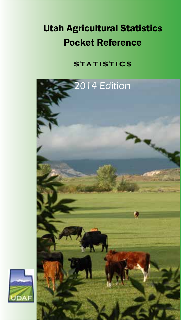# Utah Agricultural Statistics Pocket Reference

### **statistics**



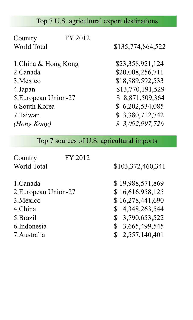# Top 7 U.S. agricultural export destinations

| FY 2012<br>Country   |                   |
|----------------------|-------------------|
| World Total          | \$135,774,864,522 |
| 1. China & Hong Kong | \$23,358,921,124  |
| 2.Canada             | \$20,008,256,711  |
| 3. Mexico            | \$18,889,592,533  |
| 4.Japan              | \$13,770,191,529  |
| 5. European Union-27 | \$8,871,509,364   |
| 6. South Korea       | \$6,202,534,085   |
| 7.Taiwan             | \$3,380,712,742   |
| (Hong Kong)          | \$3,092,997,726   |

Top 7 sources of U.S. agricultural imports

| Country              | FY 2012 |                    |
|----------------------|---------|--------------------|
| World Total          |         | \$103,372,460,341  |
| 1.Canada             |         | \$19,988,571,869   |
| 2. European Union-27 |         | \$16,616,958,125   |
| 3. Mexico            |         | \$16,278,441,690   |
| 4.China              |         | \$4,348,263,544    |
| 5. Brazil            |         | \$ 3,790,653,522   |
| 6. Indonesia         |         | 3,665,499,545<br>S |
| 7. Australia         |         | \$2,557,140,401    |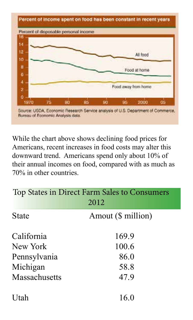

While the chart above shows declining food prices for Americans, recent increases in food costs may alter this downward trend. Americans spend only about 10% of their annual incomes on food, compared with as much as 70% in other countries.

| Top States in Direct Farm Sales to Consumers<br>2012 |                    |  |  |  |
|------------------------------------------------------|--------------------|--|--|--|
| State                                                | Amout (\$ million) |  |  |  |
| California                                           | 169.9              |  |  |  |
| New York                                             | 100.6              |  |  |  |
| Pennsylvania                                         | 86.0               |  |  |  |
| Michigan<br>58.8                                     |                    |  |  |  |
| Massachusetts                                        | 47.9               |  |  |  |
| Utah                                                 | 16.0               |  |  |  |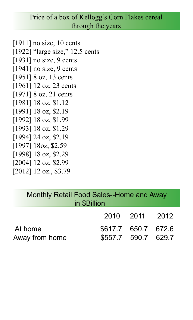#### Price of a box of Kellogg's Corn Flakes cereal through the years

[1911] no size, 10 cents [1922] "large size," 12.5 cents [1931] no size, 9 cents [1941] no size, 9 cents [1951] 8 oz, 13 cents [1961] 12 oz, 23 cents [1971] 8 oz, 21 cents [1981] 18 oz, \$1.12 [1991] 18 oz, \$2.19 [1992] 18 oz, \$1.99 [1993] 18 oz, \$1.29 [1994] 24 oz, \$2.19 [1997] 18oz, \$2.59 [1998] 18 oz, \$2.29 [2004] 12 oz, \$2.99

[2012] 12 oz., \$3.79

| Monthly Retail Food Sales--Home and Away<br>in \$Billion |                                            |                |  |
|----------------------------------------------------------|--------------------------------------------|----------------|--|
|                                                          |                                            | 2010 2011 2012 |  |
| At home<br>Away from home                                | \$617.7 650.7 672.6<br>\$557.7 590.7 629.7 |                |  |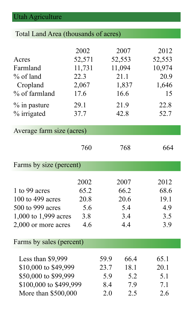# Utah Agriculture

| Total Land Area (thousands of acres)                                                                               |                                                                   |                                   |                                                                   |                                                                 |
|--------------------------------------------------------------------------------------------------------------------|-------------------------------------------------------------------|-----------------------------------|-------------------------------------------------------------------|-----------------------------------------------------------------|
| Acres<br>Farmland<br>% of land<br>Cropland<br>% of farmland<br>% in pasture<br>% irrigated                         | 2002<br>52,571<br>11,731<br>22.3<br>2,067<br>17.6<br>29.1<br>37.7 |                                   | 2007<br>52,553<br>11,094<br>21.1<br>1,837<br>16.6<br>21.9<br>42.8 | 2012<br>52,553<br>10,974<br>20.9<br>1,646<br>15<br>22.8<br>52.7 |
| Average farm size (acres)                                                                                          |                                                                   |                                   |                                                                   |                                                                 |
|                                                                                                                    | 760                                                               |                                   | 768                                                               | 664                                                             |
| Farms by size (percent)                                                                                            |                                                                   |                                   |                                                                   |                                                                 |
| 1 to 99 acres<br>100 to 499 acres<br>500 to 999 acres<br>1,000 to 1,999 acres<br>2,000 or more acres               | 2002<br>65.2<br>20.8<br>5.6<br>3.8<br>4.6                         |                                   | 2007<br>66.2<br>20.6<br>5.4<br>3.4<br>4.4                         | 2012<br>68.6<br>19.1<br>4.9<br>3.5<br>3.9                       |
| Farms by sales (percent)                                                                                           |                                                                   |                                   |                                                                   |                                                                 |
| Less than \$9,999<br>\$10,000 to \$49,999<br>\$50,000 to \$99,999<br>\$100,000 to \$499,999<br>More than \$500,000 |                                                                   | 59.9<br>23.7<br>5.9<br>8.4<br>2.0 | 66.4<br>18.1<br>5.2<br>7.9<br>2.5                                 | 65.1<br>20.1<br>5.1<br>7.1<br>2.6                               |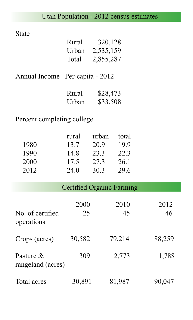### Utah Population - 2012 census estimates

State

| Rural | 320,128   |
|-------|-----------|
| Urban | 2,535,159 |
| Total | 2,855,287 |
|       |           |

| Annual Income Per-capita - 2012 |  |
|---------------------------------|--|
|---------------------------------|--|

| Rural | \$28,473 |
|-------|----------|
| Urban | \$33,508 |

Percent completing college

|      | rural | urban | total |
|------|-------|-------|-------|
| 1980 | 13.7  | 20.9  | 199   |
| 1990 | 14.8  | 233   | 22.3  |
| 2000 | 17.5  | 273   | 26.1  |
| 2012 | 24.0  | 30.3  | 29.6  |

| Certified Organic Farming |  |
|---------------------------|--|
|                           |  |

| No. of certified<br>operations | 2000<br>25 | 2010<br>45 | 2012<br>46 |
|--------------------------------|------------|------------|------------|
| Crops (acres)                  | 30,582     | 79,214     | 88,259     |
| Pasture &<br>rangeland (acres) | 309        | 2,773      | 1,788      |
| Total acres                    | 30,891     | 81,987     | 90,047     |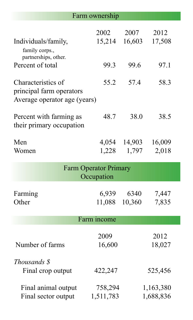### Farm ownership

|                                                                                | 2002                                       | 2007            | 2012                   |
|--------------------------------------------------------------------------------|--------------------------------------------|-----------------|------------------------|
| Individuals/family,<br>family corps.,<br>partnerships, other.                  | 15,214                                     | 16,603          | 17,508                 |
| Percent of total                                                               | 99.3                                       | 99.6            | 97.1                   |
| Characteristics of<br>principal farm operators<br>Average operator age (years) | 55.2                                       | 57.4            | 58.3                   |
| Percent with farming as<br>their primary occupation                            | 48.7                                       | 38.0            | 38.5                   |
| Men<br>Women                                                                   | 4,054<br>1,228                             | 14,903<br>1,797 | 16,009<br>2,018        |
|                                                                                | <b>Farm Operator Primary</b><br>Occupation |                 |                        |
| Farming<br>Other                                                               | 6,939<br>11,088                            | 6340<br>10,360  | 7,447<br>7,835         |
|                                                                                | Farm income                                |                 |                        |
| Number of farms                                                                | 2009<br>16,600                             |                 | 2012<br>18,027         |
| Thousands \$<br>Final crop output                                              | 422,247                                    |                 | 525,456                |
| Final animal output<br>Final sector output                                     | 758,294<br>1,511,783                       |                 | 1,163,380<br>1,688,836 |